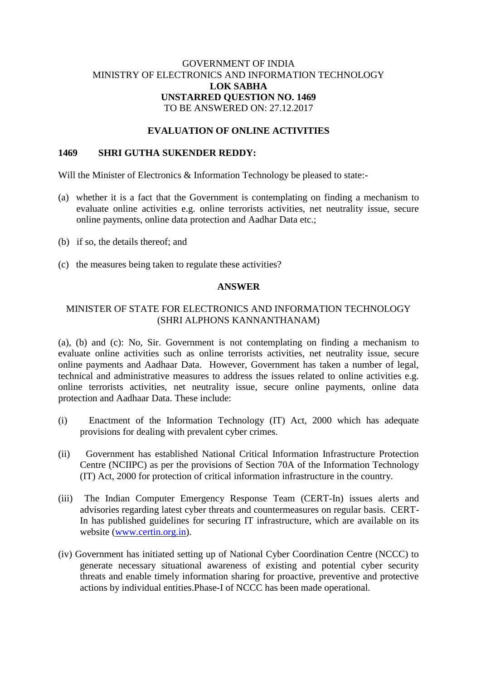# GOVERNMENT OF INDIA MINISTRY OF ELECTRONICS AND INFORMATION TECHNOLOGY **LOK SABHA UNSTARRED QUESTION NO. 1469** TO BE ANSWERED ON: 27.12.2017

## **EVALUATION OF ONLINE ACTIVITIES**

#### **1469 SHRI GUTHA SUKENDER REDDY:**

Will the Minister of Electronics & Information Technology be pleased to state:-

- (a) whether it is a fact that the Government is contemplating on finding a mechanism to evaluate online activities e.g. online terrorists activities, net neutrality issue, secure online payments, online data protection and Aadhar Data etc.;
- (b) if so, the details thereof; and
- (c) the measures being taken to regulate these activities?

### **ANSWER**

## MINISTER OF STATE FOR ELECTRONICS AND INFORMATION TECHNOLOGY (SHRI ALPHONS KANNANTHANAM)

(a), (b) and (c): No, Sir. Government is not contemplating on finding a mechanism to evaluate online activities such as online terrorists activities, net neutrality issue, secure online payments and Aadhaar Data. However, Government has taken a number of legal, technical and administrative measures to address the issues related to online activities e.g. online terrorists activities, net neutrality issue, secure online payments, online data protection and Aadhaar Data. These include:

- (i) Enactment of the Information Technology (IT) Act, 2000 which has adequate provisions for dealing with prevalent cyber crimes.
- (ii) Government has established National Critical Information Infrastructure Protection Centre (NCIIPC) as per the provisions of Section 70A of the Information Technology (IT) Act, 2000 for protection of critical information infrastructure in the country.
- (iii) The Indian Computer Emergency Response Team (CERT-In) issues alerts and advisories regarding latest cyber threats and countermeasures on regular basis. CERT-In has published guidelines for securing IT infrastructure, which are available on its website [\(www.certin.org.in\)](http://www.certin.org.in/).
- (iv) Government has initiated setting up of National Cyber Coordination Centre (NCCC) to generate necessary situational awareness of existing and potential cyber security threats and enable timely information sharing for proactive, preventive and protective actions by individual entities.Phase-I of NCCC has been made operational.